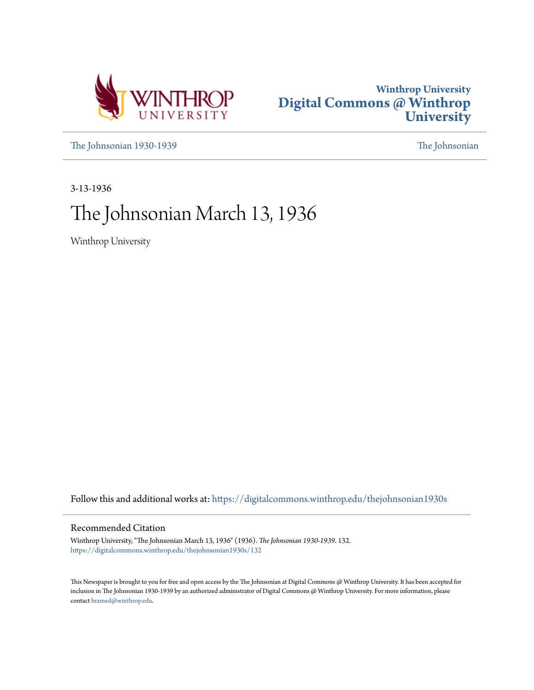



[The Johnsonian 1930-1939](https://digitalcommons.winthrop.edu/thejohnsonian1930s?utm_source=digitalcommons.winthrop.edu%2Fthejohnsonian1930s%2F132&utm_medium=PDF&utm_campaign=PDFCoverPages) [The Johnsonian](https://digitalcommons.winthrop.edu/thejohnsonian_newspaper?utm_source=digitalcommons.winthrop.edu%2Fthejohnsonian1930s%2F132&utm_medium=PDF&utm_campaign=PDFCoverPages)

3-13-1936

# The Johnsonian March 13, 1936

Winthrop University

Follow this and additional works at: [https://digitalcommons.winthrop.edu/thejohnsonian1930s](https://digitalcommons.winthrop.edu/thejohnsonian1930s?utm_source=digitalcommons.winthrop.edu%2Fthejohnsonian1930s%2F132&utm_medium=PDF&utm_campaign=PDFCoverPages)

## Recommended Citation

Winthrop University, "The Johnsonian March 13, 1936" (1936). *The Johnsonian 1930-1939*. 132. [https://digitalcommons.winthrop.edu/thejohnsonian1930s/132](https://digitalcommons.winthrop.edu/thejohnsonian1930s/132?utm_source=digitalcommons.winthrop.edu%2Fthejohnsonian1930s%2F132&utm_medium=PDF&utm_campaign=PDFCoverPages)

This Newspaper is brought to you for free and open access by the The Johnsonian at Digital Commons @ Winthrop University. It has been accepted for inclusion in The Johnsonian 1930-1939 by an authorized administrator of Digital Commons @ Winthrop University. For more information, please contact [bramed@winthrop.edu](mailto:bramed@winthrop.edu).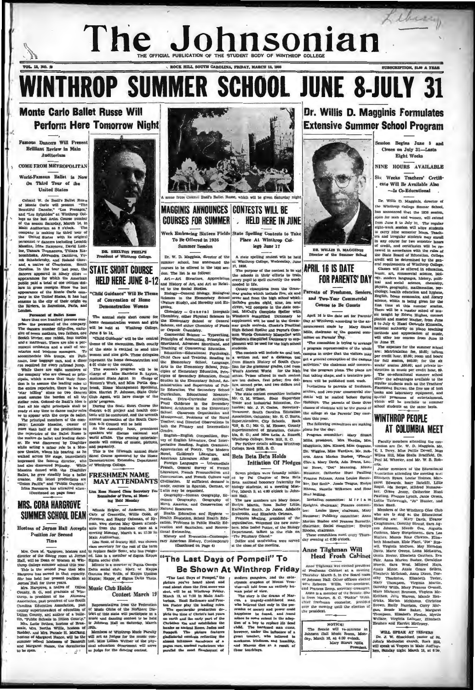## Library The Johnsonian HE OFFICIAL PUBLICATION OF THE STUDENT BODY OF WINTHROP COL ROCK HILL SOUTH CAROLINA, FRIDAY, MARCH 11, 1938 SUBSCRIPTION, SLOP A YEAR.

**WINTHROP SUMMER SCHOOL JUNE 8-JULY** 

## **Monte Carlo Ballet Russe Will Perform Here Tomorrow Night**

### s Dancers Will Pres  $D - D$ ant Review in Main Auditorium

**Service** 

VOL. 13, NO. 28

**COME FROM METROPOLITAN** 

World-Famous Rallet is Nov On Third Tour of the **United States** 

United States<br>
Colonel W. de Basilve Rules<br>
Colonel W. de Basilve Rules<br>
of Monic Carlo will present "The Beaution University"<br>
Fas and the Action Carlo will present "The basil Action Colonel Press are the Basilved Colonel

The Rowsell can be computed to the set of Society PMI, was chosen and the term<br>distance can be class secretary for the rest of the term<br>director of the dining room at Joynes ed. Lina is a neumber of Sigma Keapa<br>film, will



DE SHELTON PHELPS nt of Whithrop College

## **STATE SHORT COURSE HELD HERE JUNE 8-12**

"Child Guidance" Will Be Then of Convention of Home *i*<br>stration Wome **Day** 



e, which will be given Satt

**MAGGINIS ANNOUNCES CONTESTS WILL BE COURSES FOR SUMMER FIELD HERE IN JUNE** 

Work Embracing Sixteen Fields State Spelling Contests to Take To Be Offered in 1936 Place At Winthrop Col-**Summer Session** lege June 17

Dr. W. D. Magnink, director of the A state spelling contest will be held<br>courner achool, has announced the  $6k$ Winking College, Wednesday, June<br>cournes to be offered in the 1806 ser- 17, 1836.<br>The purpose of the contest i

son. Ice ass as a sources.<br>Appreciation the schools in their efforts to the first street and the spell correctly the wand History of Art, and Art as Relat-<br>needed in life.<br>And the Social Studies.<br>County champions from the every pupil to spell correctly the word

and History of Art, and Art as Relation method in me. The mass in the Grame of the books Statesho, Bological margrades which includes five, at and Science in the Elementary School seem and from the high school whether stu

WHITLITITO **P FIGM**<br>
modern papelers, and the original eventual elements and the original element<br>
chysine eventual of Nova and Mattery<br>
man point of view.<br>
The story is the derman of Monta<br>
man point of view.<br>
The story security kindness, and humility,<br>and Marcus dies an a result of



DR. WILLIS D. MAGGINIS

**APRIL 16 IS DATE FOR PARENTS' DAY** Parents of Freshmen, Senie

and Two-Year Commercial Course to Be Guests

NOTICE:<br>The Scular will re-convene in<br>Johnson Hall Music Room, Mon-<br>dey, March 16, at 4:30 o'clock.<br>Mary Sinart Mills,

## on Begins June 8 and Closes on July 31-Laste Eight Weeks NINE HOURS AVAILABLE

Dr. Willis D. Magginis Formulates

**Extensive Summer School Program** 

Sie Weeks Teachers' Certificate Will Be Available Also -Is Co-Educational

Dr. Willis D. Magginis, director of the Winthrop College Smmer School. has announced that the 1936 seasion, open for men and women, will extend open for men and women, will extend<br>from June 8 to July 31. The regular eight-week sension will allow students<br>to carry nine sension will allow students to carry nine sension in any counter<br>in any case for two sensions may credit util as determined by the graph of the strainand by the classes will be of<br>ferred in columns of Winthrop Oslege. Classes will be of<br>ferred in education, and more thanking more more as more in the<br>strainary point in

Statement consideration of the Board Continue, the specific and the second and the specific distance of the source of the specific state of the specific state of the specific state of the specific state of the specific st

 $\begin{tabular}{l|c|c|c|c|c} \hline $\textbf{WDL},$ {\bf SPEAB}$ & $\textbf{AT} $ {\bf VESPERS}$ \\ \hline \textbf{Dr. J. W.} \end{tabular} \begin{tabular}{l@{}}\hline\hline\textbf{X} & \textbf{W} & \textbf{SSEERS} \\ \hline \textbf{John's Methodist cluster} & \textbf{EUL} & \textbf{EUL} \\ \textbf{will speed is 114} & \textbf{Mmin} & \textbf{Mmin} & \textbf{Mmin} \\ \textbf{Mmin, Bundaky night} & \textbf{Mmin} & \textbf{M}, \textbf{a} & \textbf{b$ John's Meti

# **Be Shown At Winthrop Friday**

**EXECUTE SECTION ASSEMATE THE SEAL DESPENSE THE PRESENT PRESENT PRESENT PRESENT IN A SURFAIR IN STATE AND IN A SURFAIR IN STATE AND IN THE PRESENT IN STATE THE SPECTRE PRESENT PRESENT PRESENT PRESENT AND THE PRESENT PRESE** ce, amcient racketeers w that the most flamborant of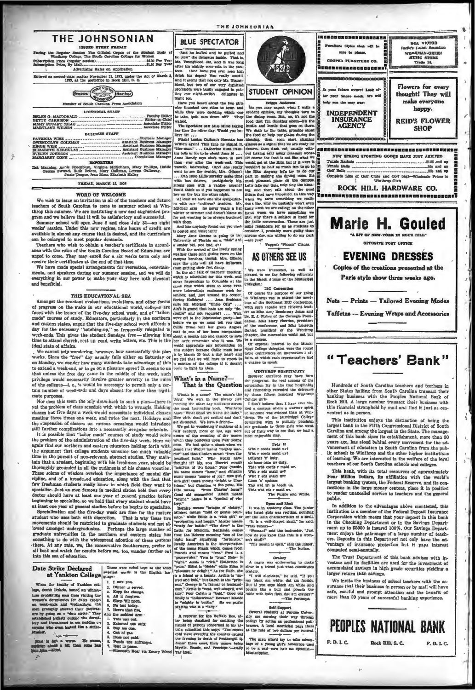| THE JOHNSONIAN<br><b>ISSUED EVERY FRIDAY</b>                                                                                                                                                             | <b>BLUE SPECTATOR</b>                                                                                                                                                                                                                 |  |
|----------------------------------------------------------------------------------------------------------------------------------------------------------------------------------------------------------|---------------------------------------------------------------------------------------------------------------------------------------------------------------------------------------------------------------------------------------|--|
| Paring the Regular Session The Official Organ of the Student Body of<br>Winthrop College, The South Carolina College for Women<br>Advertising Rates on Application                                       | "And he huffed and he puffed and<br>he blew" the delegates inside. That is,<br>Mr. Youngblood did, and it was long<br>after lis nightly coco-cola in the can-<br>teen. (And have you ever seen him                                    |  |
| Entered as second-class matter November 21, 1923, under the Act of March 3.<br>1879, at the postoffice in Rock Hill, S. C.                                                                               | drink his dopes? You really must!)<br>And it seems that not only Mr. Young-                                                                                                                                                           |  |
| <b>INember</b><br>Member of South Carolina Press Association                                                                                                                                             | blood, but two of our very dignified<br>professors were busily cugaged in put-<br>ting our night-owlish delegates in<br>flight top.<br>Have you heard about the two girls<br>who thumbed two rides to town and                        |  |
| <b>EDITORIAL STAFF</b><br><b>BUSINESS STAFF</b>                                                                                                                                                          | while they were deciding which one<br>to take, both cars drove off? They<br>walked.<br>The Speciator saw Miss Mins taking<br>her time the other day. Would you be-<br>lieve 117                                                       |  |
| ------------------------------------Business Manager<br>PATRICIA WISE<br>GWENDOLYN COLEMAN  Assistant Business afanager<br>ELIZABETH KERHULAS  Assistant Business Manager                                | Flash! Lonies Cathon's Herman has<br>written again! This time he signed it.<br>"Her-man," , Catherine Hunt Paul-<br>ing tells u. it's to be about June 16<br>Anne Bendy says ahe's more in love<br>than ever after the week-end. This |  |
| <b>RKPORTERS</b><br>Dot Manning, Annie Rosenblum, Virginia McKeithen, Mary Phillips, Hattie<br>Greene Stewart, Ruth Bethea, Mary Gallman, Lorena Galloway,<br>Jezuie Teague, Jean Moss, Elizabeth Kelley | waxeth interesting. (And she really<br>went to see the deutist. Mrs. Gibson)<br>Chain Wayne V Hills, Chapmaker such a filmen                                                                                                          |  |

FRIDAY, MARCH 11, 1936

### WORD OF WELCOME

We wish to issue an invitation to all of the teachers and future<br>teachers of South Carolina to come to summer school at Winthrop this summer. We are instituting a new and augmented program and we believe that it will be satisfactory and successful.

Summer school will open June 8 and close July 31-an eight weeks' session. Under this new regime, nine hours of credit are available in almost any course that is desired, and the curriculum vanable in annual and to meet popular demands.<br>an be enlarged to meet popular demands.<br>Teachers who wish to ohtain a teacher's certificate in accord-

season of the south Carolina Board of Education are urged to come. They may enroll for a six weeks term only and receive their certificates at the end of that time.

We have made special arrangements for recreation, entertainments, and speakers during our summer session, and we will do everything in our power to make your stay here both pleasant

## THIS EDUCATIONAL SEA

nt evaluations, evolutions, and other form Amongst the c of progress on the make in our educational world, colleges are ed with the issues ed with the issues of the five-day school week, and of "tailor-<br>de" courses of study. Educators, particularly in the northern fac and eastern states, argue that the five-day school week affords a day for the necessary "catching-up," so frequently relegated to week-ends. This gives the student Sundays free—allowing him time to ettend of rch, rest up, read, write letters, etc. This is the ideal state of affairs.

We cannot help wondering, however, how successfully this plan<br>verks. Since the "free" day usually falls either on Saturday or on Monday, we wonder how many students take advantage of this to extend a week-end, or to go on a pleasure stare advance to extend a week-end, or to go on a pleasure spree? It seems to us that unless the free day came in the middle of the week, such privilege would necessarily involve greater severity in the rules What's in a Name?<br>of the colleges-i. e., it would be necessary to permit only a cer-<br>That is the Que tain number of week-ends and days absent for other than legitimate purpo

Nor does this seem the only draw-hack to such a plan-there is set the problem of class schedule with which to wrangle. Holding classes but five days a week would necessitate individual classes meeting three times one week, and twice the next. Holidays and the suspension of classes on various occasions would introduce

still further complications into a necessarily irregular schedule.<br>It is possible that "tailor made" courses of study would solve<br>the problem of the administration of the five-day week. Here we again find our northern and eastern educators holding forth with the argument that college students consume too much valuable time in the pursuit of non-relevant, abstract studies. They maintain that a student, beginning with his freshman year, should be thoroughly grounded in all the rudiments of his chosen vocation. e solons of wisdom overlook the importance of mental dis-<br>le, and of a broadc\_ed education, along with the fact that These solo cipl few freshman students really know in which field they want to specialize. Just as men famous in medical circles hold that every dector should have at least one year of general practice before<br>beginning to specialize, so we hold that every student should have

| goctor should have at least one year of general practice before<br>beginning to specialize, so we hold that every student should have<br>at least one year of general studies before he begins to specialize.<br>Specialization and the five-day week are fine for the mature<br>student who uses both with discretion. That is why these two<br>movements should be restricted to graduate students and not al-<br>lowed amongst undergraduates. Perhaps the large number of<br>graduate universities in the northern and eastern states has<br>something to do with the widespread adoption of these ayatems<br>-there. At any rate, we, the conservative Southerners, prefer to<br>sit back and watch for results befora we, too, wander further out<br>into this sea of education. | "bright." Lazira is a "symbol of vic-<br>tory."<br>Bernice means "bringer of victory."<br>Mildred means "mild or gentle coun-<br>selor," while Edith is a "rich gift" or<br>"prospering and happy." Alonzo means<br>"ready for battle." "The dove" is the<br>Latin for Malcolm, Bentamin comes<br>from the Hebrew meaning "son of the<br>right band" signifying "furtunate."<br>Really American Is the interpretation<br>of the name Frank which comes from<br>Prancis and means "free," Fred is a<br>"peace-ruler." Vera la "true." Hele- is<br>"light." Jessie is "rich." Katherine is |                                                                                                                                                                                                                                                                                                                                                                                                                                                                                                                                                                                                                                                                                                                                                            |
|----------------------------------------------------------------------------------------------------------------------------------------------------------------------------------------------------------------------------------------------------------------------------------------------------------------------------------------------------------------------------------------------------------------------------------------------------------------------------------------------------------------------------------------------------------------------------------------------------------------------------------------------------------------------------------------------------------------------------------------------------------------------------------------|------------------------------------------------------------------------------------------------------------------------------------------------------------------------------------------------------------------------------------------------------------------------------------------------------------------------------------------------------------------------------------------------------------------------------------------------------------------------------------------------------------------------------------------------------------------------------------------|------------------------------------------------------------------------------------------------------------------------------------------------------------------------------------------------------------------------------------------------------------------------------------------------------------------------------------------------------------------------------------------------------------------------------------------------------------------------------------------------------------------------------------------------------------------------------------------------------------------------------------------------------------------------------------------------------------------------------------------------------------|
| Date Strike Declared<br>at Yankton College guage:<br>When the faculty of Yankton col-<br>lace, South Dakota, issued an ultima-<br>tum prohibiting men from visiting the<br>women's dormitories for dates except<br>on week-ends and Wednesdays, the<br>men promotly showed their displeas-<br>ure by going on a "date strike." They<br>established pubsis quisid; the dormi-<br>tory and threatuned to use paddles on<br>anyons who even looked like a strike-<br>braker.<br>Ho comes.<br>Man'is but a worm.<br>sedesso about a bit, then some han<br>nelli Allen .- Tilled,                                                                                                                                                                                                           | These were voted tops as the three<br>sweetest words in the English lan-<br>1. I love you.<br>2. Dinner 4 served.<br>3. Keep the change.<br>4. All is forgiven.<br>5. Sleep 'till noon.<br>6. No test today.<br>7.<br>Here's that five.<br>Anu the saddest are: -<br>1. This way out.<br>2. External use only.<br>3. Buy me one.<br>4. Out of same.<br>5. Duas not paid.<br>6. Punds not sufficient.<br>7. Rest in peace.<br>-- Wisconsin Roar via Emory Wheel Tar Heel.                                                                                                                 | "pure." Ethal is "Noble" while Edna is<br>"niezaure or delight." As for Ruth, she<br>is a friend or a beauty. Archie is "sa-<br>cred and bold," but Sarah is the "prin-<br>cess," George is "a farmer or husband-<br>man," Nettie is "neat, well-shaped, and<br>tidy," Poor Calvin is "bald." Good old<br>Enily is "industrious." Beware! Martde<br>is "mighty in battle." So we parter<br>Martha who is a "lady."<br>A reporter for the Buffalo Bee, af-<br>ter being chasitsed for canitting the<br>names of persons concerned in his ar-<br>ticle, submitted this copy: "The roosnt<br>cold wave sweeping the country caused<br>the freezing to death of Feathergill Q.<br>Jones' three cows, their names being<br>Myrtle, Bossie, and Penclope."-Daily |

THE JOHNSONIAN



ting our mean-work.<br>
Histo post and the two girls is the post and the two property when it will be with the winds that it will be the post of the state of states in the state of the state of the state of the state of the s while they were deteining which associate the state of the state of the labor. Some the disting two state in the disting towar, But, no, it is not the mixed, but the other day. We also the state in the other day. We also



We were interested, as well as<br>pleased, to see the following editorials<br>in the March 8 issue of the Mississippi

someonial and between a met was a method with the second in the content of the second and when the second and when the second of the second and with the second and when the second of the second and when the second and whe

However excellent may have been<br>the programs, the real success of the<br>convention lay in the true hospitality<br>and friendship extended the delegates<br>by those fifteen hundred Winthrop College girls.<br>I don't believe that I have ever

I don't nearer into a series that a may be<br>recome was evidented than a twin-<br>through through the bulking of the Minister of the Minister of the public<br>delegation wish to publicly proclaim<br>out graditude to those girls who w

 $\begin{tabular}{l|c|c|} \hline & \multicolumn{3}{c}{\textbf{Fridy II}} \\ \hline \multicolumn{3}{c}{\textbf{Fridy II}} \\ \hline \multicolumn{3}{c}{\textbf{Wblt r cosal and curl}} \\ \hline \multicolumn{3}{c}{\textbf{Wblt r cosal and curl}} \\ \hline \multicolumn{3}{c}{\textbf{whlw b cosal } curl} \\ \hline \multicolumn{3}{c}{\textbf{Wblt r cels small curl}} \\ \hline \multicolumn{3}{c}{\textbf{Wbl r cels small curl}} \\ \hline \multicolumn{3}{c}{\textbf{Wbl r cels small curl}} \\ \hline \multicolumn{$ 

Open and Shut<br>It was in anatomy class. The junior<br>who hated girls was reciting, pointing out the ins n chi stics of a skull "It is a well-shaped skull," he said. This we "Woman!" said the instruc

or. "Just how do you know that this is a worn an's skull?" "The mouth is open," said the junior --- The Indian.

 $A$  negro was endeavoring to make other to a friend just what constitutes<br>oratory. The minimization of the calor of the state of the state of<br>except and the state of the state of the state of the state of the<br>point of the

Figure 11 and 10 and 10 and 10 and 10 and 10 and 10 and 10 and 10 and 10 and 10 and 10 and 10 and 10 and 10 and 10 and 10 and 10 and 10 and 10 and 10 and 10 and 10 and 10 and 10 and 10 and 10 and 10 and 10 and 10 and 10 an The man who'd try to take advanture of a young girl's innocence use



are Styles that will be

sare to pla

A VICTOR

WORKMAN-GREEN

MUSIC STORE

**Pa** Lat at <sub>Sa</sub>

Nets - Prints - Tailored Evening Modes **Taffetas - Evening Wraps and Accessories** 

## "Teachers' Bank"

Hundreds of South Carolina teachers and teachers in other States hailing from South Carolina transact their<br>hanking husiness with the Peoples National Bank of Rock Hill, A large number transact their business with this financial stronghold hy mail and find it just as convenient as in person.

This institution enjoys the distinction of heing the largest bank in the Fifth Congressional District of South Carolina and amoug the largest in the State. The management of this bank since its establishment, more than 30 years ago, has stood behind every movement for the advancement of education in South Carolina from the pubvalue and the other higher institutions<br>of learning. We are interested in the welfare of the loyal<br>teachers of our South Carolina schools and colleges.

concerns on about contour scross and one<br>proximately Four Millon Dollars, its affiliation with the world's<br>largest banking system, the Federal Reserve, and its control and<br>needtons in the large money centers, place it in p public.

In addition to the advantages above mentioned, this institution is a member of the Federal Deposit insurance.<br>Corporation which means that your deposit in this bank in the Checking Department or in the Savings Department up to \$5000 is insured 100%. Our Savings Department enjoys the patronage of a large number of teachers. Deposits in this Department not only have the advantage of insurance protection hut it pays interest computed semi-annually.

The Trust Department of this bank advises with investors and its facilities are used for the investment of accumulated savings in high grade securities yielding a larger return than savings.

We invite the business of school teachers with the assurance that their business in person or by mail will have safe, caroful and prompt attention and the benefit of more than 30 years of successful hanking experience.



That is the Question

What's in a name? The name's the

thing We were in the library just<br>messing the other day and came across<br>the most fascinating book. Winthrop

Uning We were in the library just<br> $\gamma$  increasing the other day and cannot measure in<br>measure of the model facebook of the smaller point. With<br>the point of the set of the set of the set of the set of the set of<br>the set of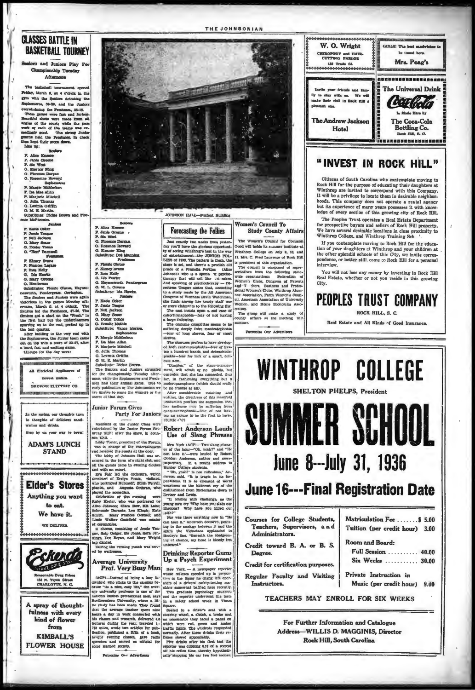## **CLASSES BATTLE IN BASKETBALL TOURNEY**

dors and Juniors Play For Cleampionship Tuesday Afternoon

The **1** sketball tou Friday, March 6, at 4 o'clock in the gym with the Seniors defeating the Sophomores, 38-26, and the Junior overwhelming the Pre shmer, 35-10 overwheiming the Freshman, 33-10.<br>These games were fast and furious.<br>Beantiful ahots were made from all ages of the court; while the pass<br>work of each of the teams was expected<br>panel work of each of the teams was expected<br> Ŧ. Tans:

Scolars **F.** Alice Kneece<br>F. Janie Greene F. Sis West G. Florence Dargen ā. eanne H Sophomore<br>Bophomore<br>F. Margie McMeekan F. Mariorie Mitchell

G. Julia Thomas G. Lavinia Griffin G. M. E. Martin bstitutes: Dickie Brown on McDhaws

Juniors P. Katle Coker P. Jessie Teague<br>P. Nell Jackson<br>G. Mary Seare G. Dog **Yonon** 

G. Doney Tongo<br>Proshes<br>P. Kinery Brans<br>P. Frances Legare

- F. Frances Lege<br>F. Inex Kelly<br>G. Ida Hawka<br>G. Mary Green
- G. Mary Gre<br>O. Henderson

O. Mary Oreens<br>
O. Renderson<br>
C. Renderson<br>
C. Renderson<br>
C. Renderson<br>
The Seniors and Junkar, Haynet-<br>
The Seniors and Junkar<br>
renderson, March 3. at 4 orbick. The<br>
Seniors in the Presimen, 47-58, The<br>
Seniors is distrib the fir

P. Alles Encoce<br>
P. Jales Greens<br>
P. Sin West<br>
C. Florence Dargan<br>
G. Rosanne Howard<br>
G. Rosanne Howard<br>
Substitute: Des Mann<br>
Substitute: Presham<br>
Tagged Substitute: Presham<br>
Tagged

Freshmann<br>F. Floasie Chause<br>F. Kinney Brans<br>C. Lib Fowler<br>G. Lib Fowler<br>G. Haynesworth Pende

O. Haynesworth Pends<br>G. M. L. Greene<br>Subsiliute: Ida Hawks

 $\begin{tabular}{ll} & new. if a. E\\ \hline P. Raita: Ooker\\ P. Jostde Teague\\ P. Nell: Jaestoon\\ O. Dcatier Yanoo\\ O. Roalsle Mathig\\ Substitute:  $V-\\ \hline \end{tabular}$$ 

O. Rosalie Mathis<br>Substitute: Vance May<br>Bephemore<br>F. Margie Makeelan<br>F. Marjovie Mitchell<br>F. Marjovie Mitchell

**Junior Forum Gives** 

**Party For Juniors** 

Members of the Junior Class were

tring the evening punch was serv

**Average University** 

F. Marjovie Mitchel<br>G. Julia Thomas<br>G. Levenia Griffi<br>G. M. E. Martin la Gelffin

the So

Ali E'ecirical Applis newest makes.

**BROWNE ELECTRIC CO. INSUSIAIRA PERSONALISM** 

he spring, our thoughts turn to thoughte of delicious sandwishes and drinks Step by on your way to town!

**ADAM'S LUNCH STAND** 

Elder's Stores

Anything you want to eat.

We have it

**WE DELIVER** 



A spray of thoughtfulness with every kind of flower from **KIMBALL'S FLOWER HOUSE** 



JOHNSON HATL-Student Building

Just cancely two weeks from yester-<br>toy of seles from yester-<br>day you'll have the glorious opportunity of seles and youth the glorious control<br>from the strength of the strength of the strength of the strength of<br>the stren Just exactly two weeks from yest

sleeves.<br>The choruses profess to have develop-<br>cd both centimonophobia—fear of hav-<br>ing a hundred hands, and debrachiolo-<br>phobia—fear for lack of a small, deli-

 $\begin{tabular}{|c|c|c|c|c|} \hline \textbf{O}, & \textbf{Lwrenia Getiffia}\\ \hline \textbf{O}, & \textbf{Mwrenia Getiffia}\\ \hline \textbf{S, cib. K. M. m. (a) } & \textbf{Cib. K. M. (b)} \\ \hline \textbf{S, cib. K. M. (c)} & \textbf{S, cib. K. (c)} \\ \hline \textbf{S, cib. K. (d)} & \textbf{S, cib. K. (e)} \\ \hline \textbf{S, cib. K. (e)} & \textbf{S, cib. K. (f)} \\ \hline \textbf{S, cib. K. (f)}$ 

waiting, the directress of this manifold<br>production proffers the suggestion that<br>there and<br>international compares of the state of not have our automobility are surrently remained in the state of not have the first to leave.<br>
I say that the first to leave.

Use of Slang Phrases

es of the hour-"Oh, yenh?" and "He can take it"-were lauded by Robert Cordon Anderson, author and news-

tures, and the the show, in John-<br>which years, and the the show, in John-<br>which years, present of the Pattnian<br>metric which the state of the selection of received the patter and the<br>derivative pattern of the sign and the s

of ceremonies.<br>
A chorus, consisting of Jessie Tea-<br>
gue, Saip Geiger, Sis Jones, Sara Jen-<br>
nings, Dee Bryan, and Mary Wright<br>
tap danced.

**Drinking Reporter Gums** Up a Psych Experiment

Prof. Very Busy Man

Women's Council To **Study County Affairs** 

The Women's Council for Common lood will holds its semmer institute at Winthrop College on July 9, 10, and 11. Mrs. C. Fred Laurence of R

and T :hers, Business and Professional Women's Clubs, Winthrop Alummetal women's Clubs, Winthrop and Science Association, Parm Women's (cl), American Association of Univ ra's Coun ersity ciation.



## "INVEST IN ROCK HILL"

Citizens of South Carolina who contemplate moving to Rock Hill for the purpose of educating their daughters at Winthrop are invited to correspond with this Company.<br>It will be a privilege to locate them in desirable neighborhoods. This company does not operate a rental agency<br>but its experience of many years possesses it with know-<br>ledge of every section of this growing city of Rock Hill.

The Peoples Trust operates a Real Estate Department The prospective buyers and sellers of Rock Hill property.<br>We have several desirable locations in close proximity to Winthrop College, and Winthrop Training Sch<sup>1</sup>.

If you contemplate moving to Rock Hill for the educato a fluctual point of your daughters at Winthrop and your chichren at<br>the other splendid schools of this City, we invite correspondence, or better still, come to Rock Hill for a personal pontro...<br>interview.

You will not lose any money by investing in Rock Hill<br>Real Estate, whether or not you reside in this growing City.

**PEOPLES TRUST COMPANY** 

ROCK HILL, S. C.

Real Estate and All Kinds of Good Insurance.



entertained by the Junior Forum Sat-<br>
Robert Anderson Lauds<br>
area whether the show, in John-<br>
I Iso of Slame Phone:

New York (ACP).-Two slang ph

can large through the acceleration of the second and the properties of the second and the mean of the second of the second of the second of the second of the second of the property of the second of the second of the secon

**AVERT EVERY BURBY METH.** Here York — we choose a properties of the second to being a large in-time collection of the large factoristic (ACP)—instead of being a large in-time of the distance factoristic field control what

# **Forecasting the Follies**

a president of this organization.<br>The council is composed of representatives from the following state-<br>wide organizations: Federation of<br>Women's Clubs, Congress of Parents

Patronise Our Advertisers

ek Hill

nation.<br>The group will make a study<br>county affairs at the meeting county